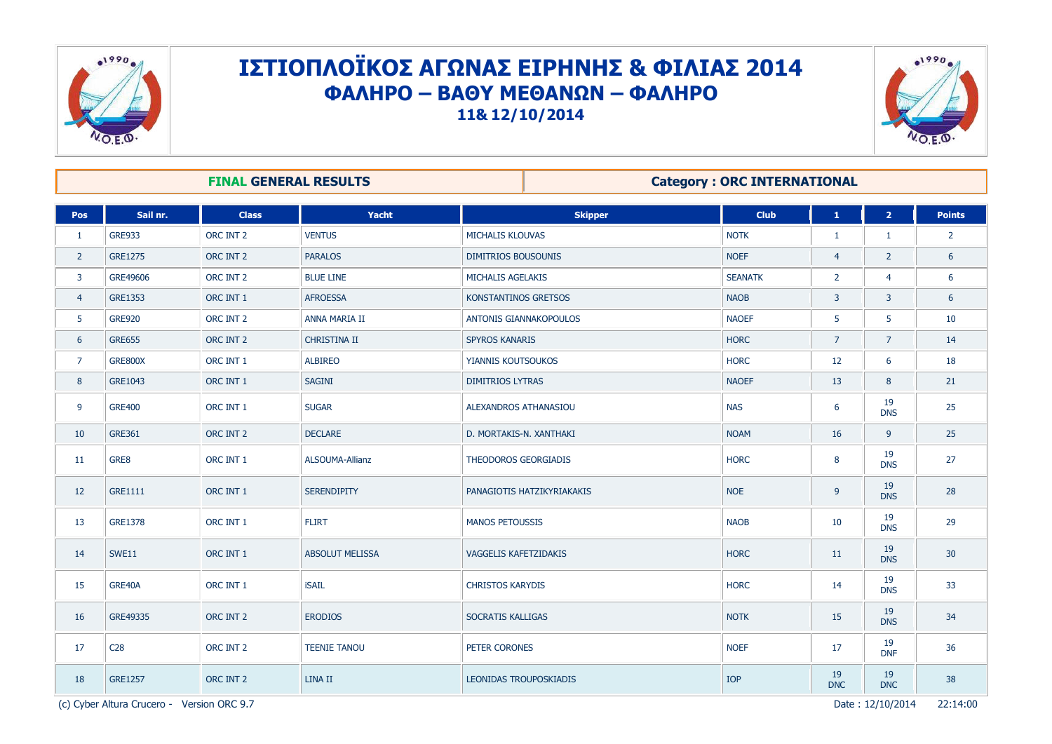

## ΙΣΤΙΟΠΛΟΪΚΟΣ ΑΓΩΝΑΣ ΕΙΡΗΝΗΣ & ΦΙΛΙΑΣ 2014 **ΦΑΛΗΡΟ – ΒΑΘΤ ΜΕΘΑΝΩΝ – ΦΑΛΗΡΟ 11& 12/10/2014**



| <b>FINAL GENERAL RESULTS</b> |                 |              |                        | <b>Category: ORC INTERNATIONAL</b> |                |                  |                  |                |  |
|------------------------------|-----------------|--------------|------------------------|------------------------------------|----------------|------------------|------------------|----------------|--|
| <b>Pos</b>                   | Sail nr.        | <b>Class</b> | Yacht                  | <b>Skipper</b>                     | <b>Club</b>    | $\mathbf 1$      | $\overline{2}$   | <b>Points</b>  |  |
| 1                            | <b>GRE933</b>   | ORC INT 2    | <b>VENTUS</b>          | <b>MICHALIS KLOUVAS</b>            | <b>NOTK</b>    | $\mathbf{1}$     | 1                | $\overline{2}$ |  |
| $\overline{2}$               | <b>GRE1275</b>  | ORC INT 2    | <b>PARALOS</b>         | <b>DIMITRIOS BOUSOUNIS</b>         | <b>NOEF</b>    | $\overline{4}$   | $\overline{2}$   | 6              |  |
| 3                            | GRE49606        | ORC INT 2    | <b>BLUE LINE</b>       | MICHALIS AGELAKIS                  | <b>SEANATK</b> | $\overline{2}$   | $\overline{4}$   | 6              |  |
| $\overline{4}$               | GRE1353         | ORC INT 1    | <b>AFROESSA</b>        | KONSTANTINOS GRETSOS               | <b>NAOB</b>    | $\overline{3}$   | 3                | 6              |  |
| 5                            | <b>GRE920</b>   | ORC INT 2    | <b>ANNA MARIA II</b>   | ANTONIS GIANNAKOPOULOS             | <b>NAOEF</b>   | 5                | 5                | 10             |  |
| 6                            | <b>GRE655</b>   | ORC INT 2    | <b>CHRISTINA II</b>    | <b>SPYROS KANARIS</b>              | <b>HORC</b>    | $\overline{7}$   | $\overline{7}$   | 14             |  |
| $\overline{7}$               | <b>GRE800X</b>  | ORC INT 1    | <b>ALBIREO</b>         | YIANNIS KOUTSOUKOS                 | <b>HORC</b>    | 12               | 6                | 18             |  |
| 8                            | GRE1043         | ORC INT 1    | <b>SAGINI</b>          | <b>DIMITRIOS LYTRAS</b>            | <b>NAOEF</b>   | 13               | 8                | 21             |  |
| 9                            | <b>GRE400</b>   | ORC INT 1    | <b>SUGAR</b>           | <b>ALEXANDROS ATHANASIOU</b>       | <b>NAS</b>     | 6                | 19<br><b>DNS</b> | 25             |  |
| 10                           | <b>GRE361</b>   | ORC INT 2    | <b>DECLARE</b>         | D. MORTAKIS-N. XANTHAKI            | <b>NOAM</b>    | 16               | 9                | 25             |  |
| 11                           | GRE8            | ORC INT 1    | <b>ALSOUMA-Allianz</b> | THEODOROS GEORGIADIS               | <b>HORC</b>    | 8                | 19<br><b>DNS</b> | 27             |  |
| 12                           | <b>GRE1111</b>  | ORC INT 1    | <b>SERENDIPITY</b>     | PANAGIOTIS HATZIKYRIAKAKIS         | <b>NOE</b>     | 9                | 19<br><b>DNS</b> | 28             |  |
| 13                           | <b>GRE1378</b>  | ORC INT 1    | <b>FLIRT</b>           | <b>MANOS PETOUSSIS</b>             | <b>NAOB</b>    | 10               | 19<br><b>DNS</b> | 29             |  |
| 14                           | <b>SWE11</b>    | ORC INT 1    | <b>ABSOLUT MELISSA</b> | VAGGELIS KAFETZIDAKIS              | <b>HORC</b>    | 11               | 19<br><b>DNS</b> | 30             |  |
| 15                           | GRE40A          | ORC INT 1    | <b>iSAIL</b>           | <b>CHRISTOS KARYDIS</b>            | <b>HORC</b>    | 14               | 19<br><b>DNS</b> | 33             |  |
| 16                           | GRE49335        | ORC INT 2    | <b>ERODIOS</b>         | <b>SOCRATIS KALLIGAS</b>           | <b>NOTK</b>    | 15               | 19<br><b>DNS</b> | 34             |  |
| 17                           | C <sub>28</sub> | ORC INT 2    | <b>TEENIE TANOU</b>    | PETER CORONES                      | <b>NOEF</b>    | 17               | 19<br><b>DNF</b> | 36             |  |
| 18                           | <b>GRE1257</b>  | ORC INT 2    | LINA II                | LEONIDAS TROUPOSKIADIS             | IOP            | 19<br><b>DNC</b> | 19<br><b>DNC</b> | 38             |  |

(c) Cyber Altura Crucero - Version ORC 9.7 Date : 12/10/2014 22:14:00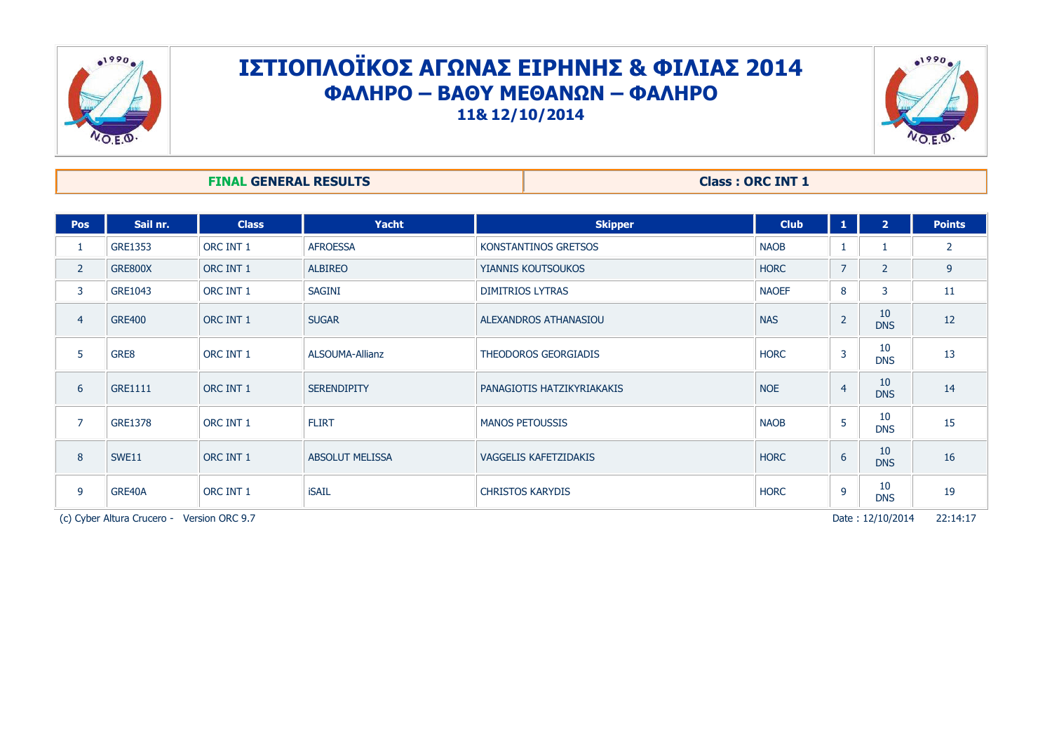

## ΙΣΤΙΟΠΛΟΪΚΟΣ ΑΓΩΝΑΣ ΕΙΡΗΝΗΣ & ΦΙΛΙΑΣ 2014 **ΦΑΛΗΡΟ – ΒΑΘΤ ΜΕΘΑΝΩΝ – ΦΑΛΗΡΟ 11& 12/10/2014**



**FINAL GENERAL RESULTS Class : ORC INT 1** 

| Pos                                                               | Sail nr.       | <b>Class</b> | <b>Yacht</b>           | <b>Skipper</b>             | <b>Club</b>  | $\mathbf{1}$   | $\overline{2}$   | <b>Points</b>  |
|-------------------------------------------------------------------|----------------|--------------|------------------------|----------------------------|--------------|----------------|------------------|----------------|
| 1                                                                 | <b>GRE1353</b> | ORC INT 1    | <b>AFROESSA</b>        | KONSTANTINOS GRETSOS       | <b>NAOB</b>  |                | 1                | $\overline{2}$ |
| $\overline{2}$                                                    | GRE800X        | ORC INT 1    | <b>ALBIREO</b>         | YIANNIS KOUTSOUKOS         | <b>HORC</b>  | $\overline{7}$ | $\overline{2}$   | 9              |
| 3                                                                 | GRE1043        | ORC INT 1    | <b>SAGINI</b>          | <b>DIMITRIOS LYTRAS</b>    | <b>NAOEF</b> | 8              | 3                | 11             |
| $\overline{4}$                                                    | <b>GRE400</b>  | ORC INT 1    | <b>SUGAR</b>           | ALEXANDROS ATHANASIOU      | <b>NAS</b>   | $\overline{2}$ | 10<br><b>DNS</b> | 12             |
| 5                                                                 | GRE8           | ORC INT 1    | ALSOUMA-Allianz        | THEODOROS GEORGIADIS       | <b>HORC</b>  | 3              | 10<br><b>DNS</b> | 13             |
| 6                                                                 | <b>GRE1111</b> | ORC INT 1    | <b>SERENDIPITY</b>     | PANAGIOTIS HATZIKYRIAKAKIS | <b>NOE</b>   | $\overline{4}$ | 10<br><b>DNS</b> | 14             |
| $\overline{7}$                                                    | <b>GRE1378</b> | ORC INT 1    | <b>FLIRT</b>           | <b>MANOS PETOUSSIS</b>     | <b>NAOB</b>  | 5              | 10<br><b>DNS</b> | 15             |
| 8                                                                 | SWE11          | ORC INT 1    | <b>ABSOLUT MELISSA</b> | VAGGELIS KAFETZIDAKIS      | <b>HORC</b>  | 6              | 10<br><b>DNS</b> | 16             |
| 9                                                                 | GRE40A         | ORC INT 1    | <b>iSAIL</b>           | <b>CHRISTOS KARYDIS</b>    | <b>HORC</b>  | 9              | 10<br><b>DNS</b> | 19             |
| Date: 12/10/2014<br>(c) Cyber Altura Crucero -<br>Version ORC 9.7 |                |              |                        |                            |              |                | 22:14:17         |                |